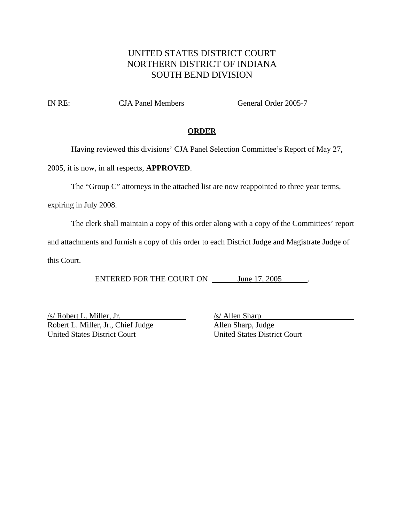# UNITED STATES DISTRICT COURT NORTHERN DISTRICT OF INDIANA SOUTH BEND DIVISION

IN RE: CJA Panel Members General Order 2005-7

### **ORDER**

Having reviewed this divisions' CJA Panel Selection Committee's Report of May 27,

2005, it is now, in all respects, **APPROVED**.

The "Group C" attorneys in the attached list are now reappointed to three year terms,

expiring in July 2008.

The clerk shall maintain a copy of this order along with a copy of the Committees' report

and attachments and furnish a copy of this order to each District Judge and Magistrate Judge of

this Court.

ENTERED FOR THE COURT ON June 17, 2005

 $\frac{\sqrt{s}}{\text{Robert L. Miller, Jr.}}$  /s/ Allen Sharp<br>Robert L. Miller, Jr., Chief Judge Robert L. Miller, Jr., Chief Judge United States District Court United States District Court